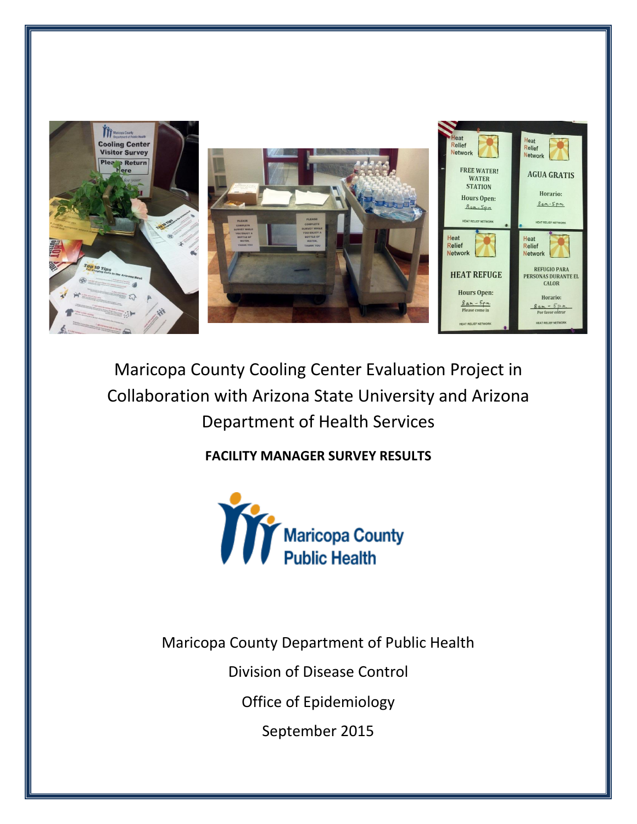

# Maricopa County Cooling Center Evaluation Project in Collaboration with Arizona State University and Arizona Department of Health Services

### **FACILITY MANAGER SURVEY RESULTS**

Maricopa County Department of Public Health

Division of Disease Control

Office of Epidemiology

September 2015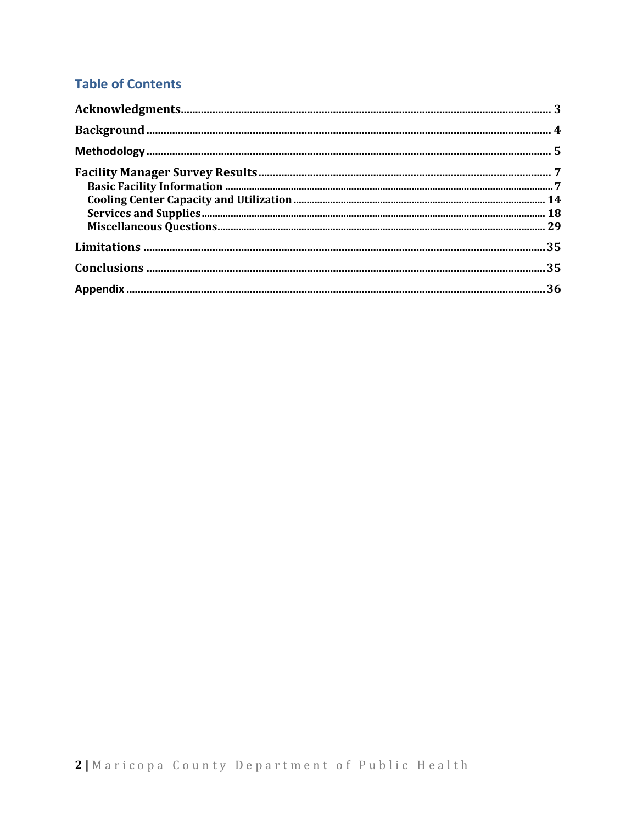## **Table of Contents**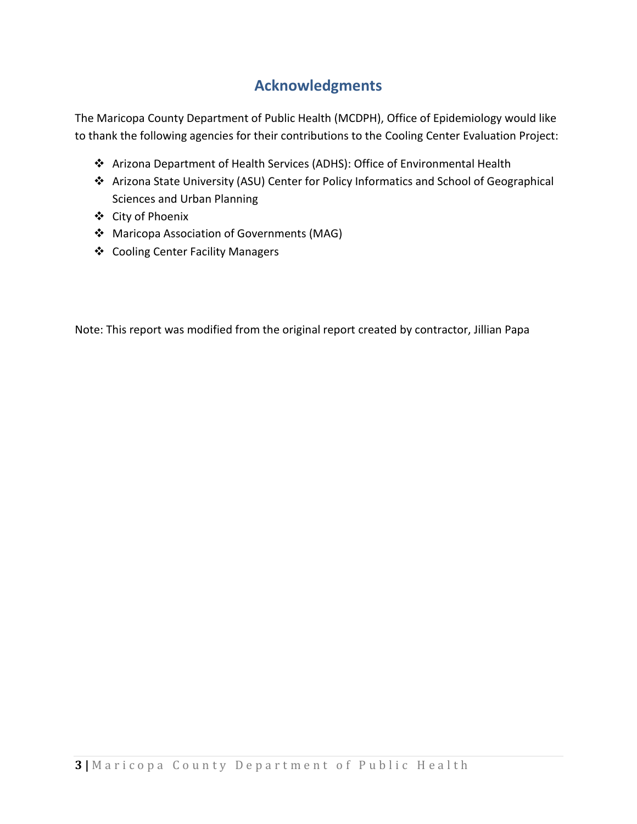## **Acknowledgments**

<span id="page-2-0"></span>The Maricopa County Department of Public Health (MCDPH), Office of Epidemiology would like to thank the following agencies for their contributions to the Cooling Center Evaluation Project:

- Arizona Department of Health Services (ADHS): Office of Environmental Health
- Arizona State University (ASU) Center for Policy Informatics and School of Geographical Sciences and Urban Planning
- City of Phoenix
- Maricopa Association of Governments (MAG)
- Cooling Center Facility Managers

Note: This report was modified from the original report created by contractor, Jillian Papa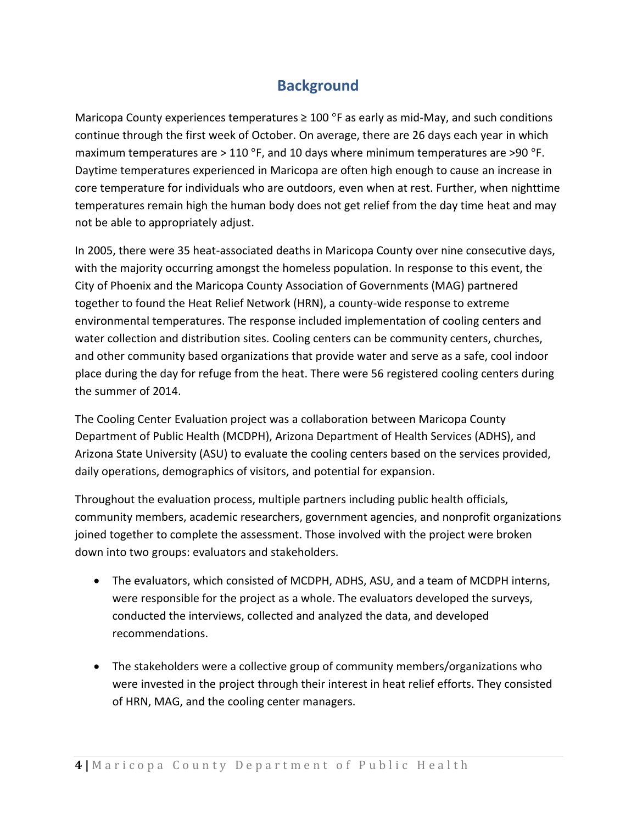### **Background**

<span id="page-3-0"></span>Maricopa County experiences temperatures  $\geq 100$  °F as early as mid-May, and such conditions continue through the first week of October. On average, there are 26 days each year in which maximum temperatures are  $>$  110 °F, and 10 days where minimum temperatures are  $>$ 90 °F. Daytime temperatures experienced in Maricopa are often high enough to cause an increase in core temperature for individuals who are outdoors, even when at rest. Further, when nighttime temperatures remain high the human body does not get relief from the day time heat and may not be able to appropriately adjust.

In 2005, there were 35 heat-associated deaths in Maricopa County over nine consecutive days, with the majority occurring amongst the homeless population. In response to this event, the City of Phoenix and the Maricopa County Association of Governments (MAG) partnered together to found the Heat Relief Network (HRN), a county-wide response to extreme environmental temperatures. The response included implementation of cooling centers and water collection and distribution sites. Cooling centers can be community centers, churches, and other community based organizations that provide water and serve as a safe, cool indoor place during the day for refuge from the heat. There were 56 registered cooling centers during the summer of 2014.

The Cooling Center Evaluation project was a collaboration between Maricopa County Department of Public Health (MCDPH), Arizona Department of Health Services (ADHS), and Arizona State University (ASU) to evaluate the cooling centers based on the services provided, daily operations, demographics of visitors, and potential for expansion.

Throughout the evaluation process, multiple partners including public health officials, community members, academic researchers, government agencies, and nonprofit organizations joined together to complete the assessment. Those involved with the project were broken down into two groups: evaluators and stakeholders.

- The evaluators, which consisted of MCDPH, ADHS, ASU, and a team of MCDPH interns, were responsible for the project as a whole. The evaluators developed the surveys, conducted the interviews, collected and analyzed the data, and developed recommendations.
- The stakeholders were a collective group of community members/organizations who were invested in the project through their interest in heat relief efforts. They consisted of HRN, MAG, and the cooling center managers.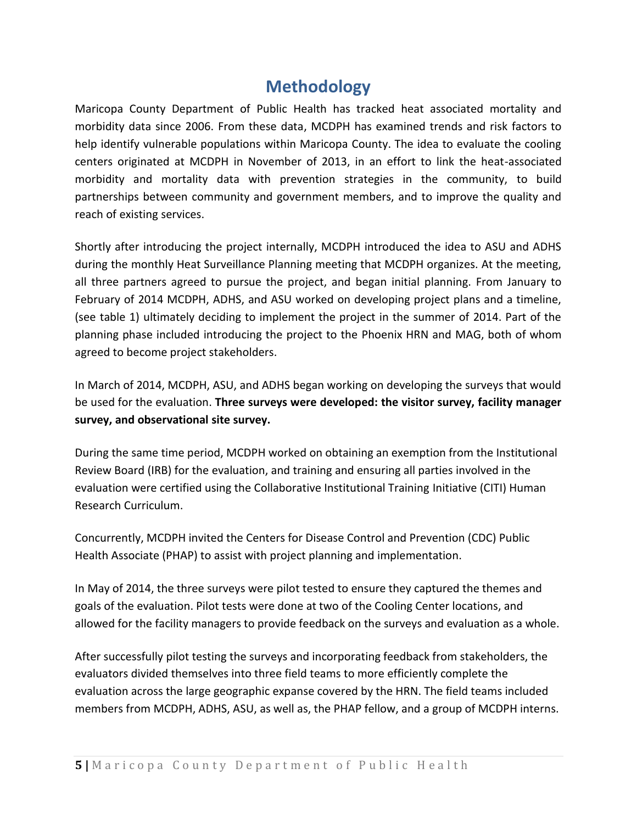## **Methodology**

<span id="page-4-0"></span>Maricopa County Department of Public Health has tracked heat associated mortality and morbidity data since 2006. From these data, MCDPH has examined trends and risk factors to help identify vulnerable populations within Maricopa County. The idea to evaluate the cooling centers originated at MCDPH in November of 2013, in an effort to link the heat-associated morbidity and mortality data with prevention strategies in the community, to build partnerships between community and government members, and to improve the quality and reach of existing services.

Shortly after introducing the project internally, MCDPH introduced the idea to ASU and ADHS during the monthly Heat Surveillance Planning meeting that MCDPH organizes. At the meeting, all three partners agreed to pursue the project, and began initial planning. From January to February of 2014 MCDPH, ADHS, and ASU worked on developing project plans and a timeline, (see table 1) ultimately deciding to implement the project in the summer of 2014. Part of the planning phase included introducing the project to the Phoenix HRN and MAG, both of whom agreed to become project stakeholders.

In March of 2014, MCDPH, ASU, and ADHS began working on developing the surveys that would be used for the evaluation. **Three surveys were developed: the visitor survey, facility manager survey, and observational site survey.**

During the same time period, MCDPH worked on obtaining an exemption from the Institutional Review Board (IRB) for the evaluation, and training and ensuring all parties involved in the evaluation were certified using the Collaborative Institutional Training Initiative (CITI) Human Research Curriculum.

Concurrently, MCDPH invited the Centers for Disease Control and Prevention (CDC) Public Health Associate (PHAP) to assist with project planning and implementation.

In May of 2014, the three surveys were pilot tested to ensure they captured the themes and goals of the evaluation. Pilot tests were done at two of the Cooling Center locations, and allowed for the facility managers to provide feedback on the surveys and evaluation as a whole.

After successfully pilot testing the surveys and incorporating feedback from stakeholders, the evaluators divided themselves into three field teams to more efficiently complete the evaluation across the large geographic expanse covered by the HRN. The field teams included members from MCDPH, ADHS, ASU, as well as, the PHAP fellow, and a group of MCDPH interns.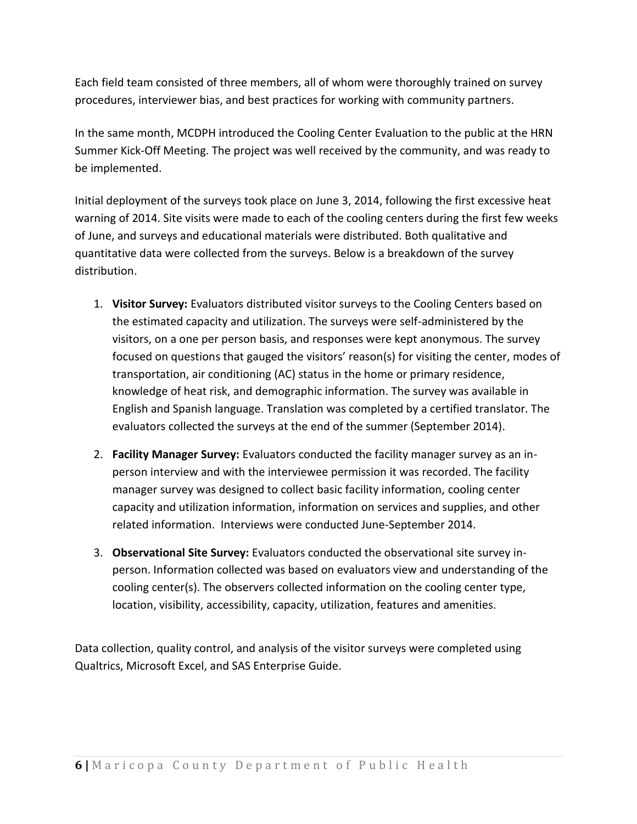Each field team consisted of three members, all of whom were thoroughly trained on survey procedures, interviewer bias, and best practices for working with community partners.

In the same month, MCDPH introduced the Cooling Center Evaluation to the public at the HRN Summer Kick-Off Meeting. The project was well received by the community, and was ready to be implemented.

Initial deployment of the surveys took place on June 3, 2014, following the first excessive heat warning of 2014. Site visits were made to each of the cooling centers during the first few weeks of June, and surveys and educational materials were distributed. Both qualitative and quantitative data were collected from the surveys. Below is a breakdown of the survey distribution.

- 1. **Visitor Survey:** Evaluators distributed visitor surveys to the Cooling Centers based on the estimated capacity and utilization. The surveys were self-administered by the visitors, on a one per person basis, and responses were kept anonymous. The survey focused on questions that gauged the visitors' reason(s) for visiting the center, modes of transportation, air conditioning (AC) status in the home or primary residence, knowledge of heat risk, and demographic information. The survey was available in English and Spanish language. Translation was completed by a certified translator. The evaluators collected the surveys at the end of the summer (September 2014).
- 2. **Facility Manager Survey:** Evaluators conducted the facility manager survey as an inperson interview and with the interviewee permission it was recorded. The facility manager survey was designed to collect basic facility information, cooling center capacity and utilization information, information on services and supplies, and other related information. Interviews were conducted June-September 2014.
- 3. **Observational Site Survey:** Evaluators conducted the observational site survey inperson. Information collected was based on evaluators view and understanding of the cooling center(s). The observers collected information on the cooling center type, location, visibility, accessibility, capacity, utilization, features and amenities.

Data collection, quality control, and analysis of the visitor surveys were completed using Qualtrics, Microsoft Excel, and SAS Enterprise Guide.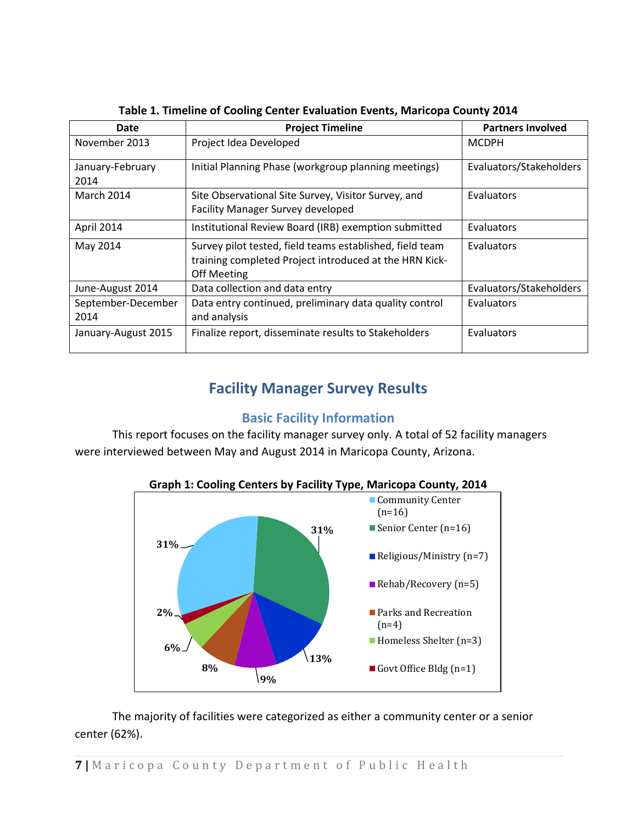| Date                     | <b>Project Timeline</b>                                                                                                                  | <b>Partners Involved</b> |
|--------------------------|------------------------------------------------------------------------------------------------------------------------------------------|--------------------------|
| November 2013            | Project Idea Developed                                                                                                                   | <b>MCDPH</b>             |
| January-February<br>2014 | Initial Planning Phase (workgroup planning meetings)                                                                                     | Evaluators/Stakeholders  |
| March 2014               | Site Observational Site Survey, Visitor Survey, and<br><b>Facility Manager Survey developed</b>                                          | Evaluators               |
| April 2014               | Institutional Review Board (IRB) exemption submitted                                                                                     | Evaluators               |
| May 2014                 | Survey pilot tested, field teams established, field team<br>training completed Project introduced at the HRN Kick-<br><b>Off Meeting</b> | Evaluators               |
| June-August 2014         | Data collection and data entry                                                                                                           | Evaluators/Stakeholders  |
| September-December       | Data entry continued, preliminary data quality control                                                                                   | Evaluators               |
| 2014                     | and analysis                                                                                                                             |                          |
| January-August 2015      | Finalize report, disseminate results to Stakeholders                                                                                     | Evaluators               |

**Table 1. Timeline of Cooling Center Evaluation Events, Maricopa County 2014**

### **Facility Manager Survey Results**

### **Basic Facility Information**

<span id="page-6-1"></span><span id="page-6-0"></span>This report focuses on the facility manager survey only. A total of 52 facility managers were interviewed between May and August 2014 in Maricopa County, Arizona.



**Graph 1: Cooling Centers by Facility Type, Maricopa County, 2014**

The majority of facilities were categorized as either a community center or a senior center (62%).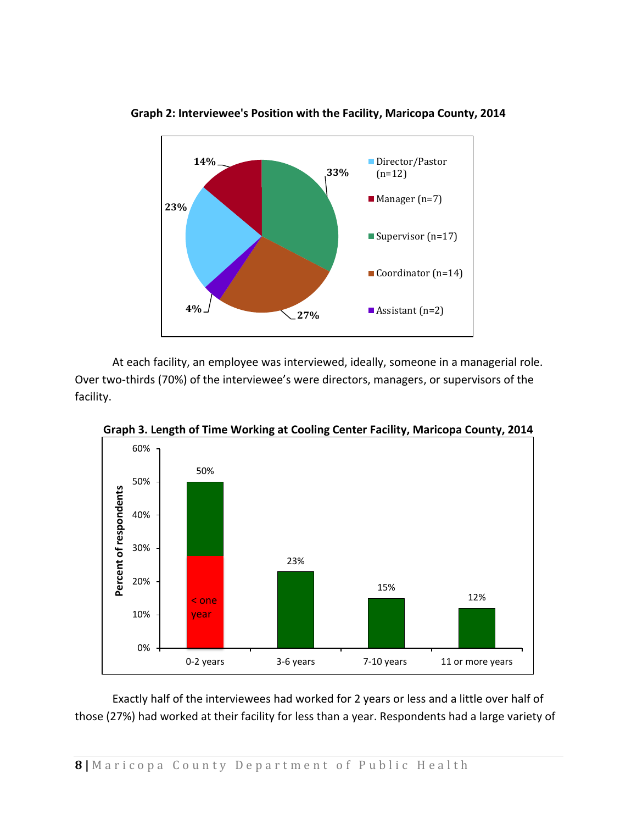

**Graph 2: Interviewee's Position with the Facility, Maricopa County, 2014**

At each facility, an employee was interviewed, ideally, someone in a managerial role. Over two-thirds (70%) of the interviewee's were directors, managers, or supervisors of the facility.



**Graph 3. Length of Time Working at Cooling Center Facility, Maricopa County, 2014**

Exactly half of the interviewees had worked for 2 years or less and a little over half of those (27%) had worked at their facility for less than a year. Respondents had a large variety of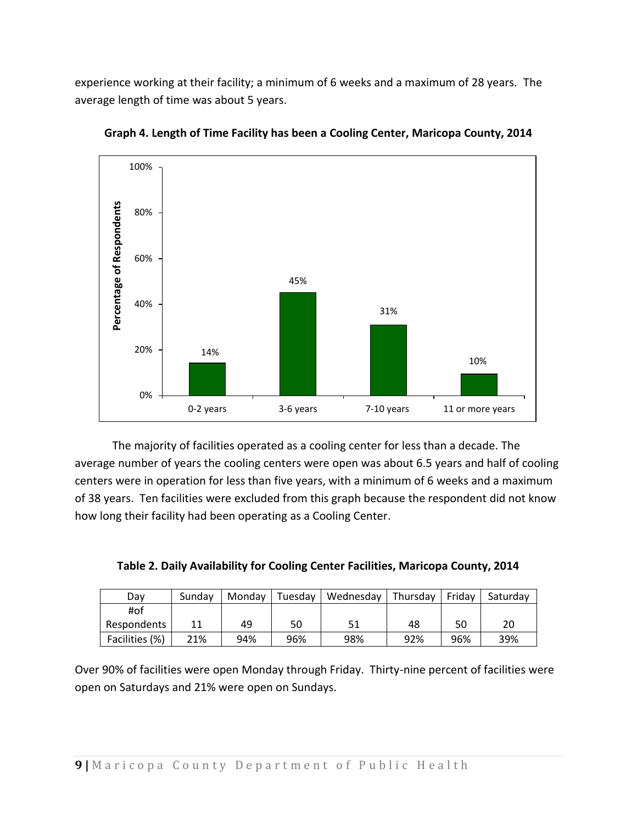experience working at their facility; a minimum of 6 weeks and a maximum of 28 years. The average length of time was about 5 years.



**Graph 4. Length of Time Facility has been a Cooling Center, Maricopa County, 2014**

The majority of facilities operated as a cooling center for less than a decade. The average number of years the cooling centers were open was about 6.5 years and half of cooling centers were in operation for less than five years, with a minimum of 6 weeks and a maximum of 38 years. Ten facilities were excluded from this graph because the respondent did not know how long their facility had been operating as a Cooling Center.

| Dav            | Sundav | Mondav | Tuesday | Wednesday | Thursday | Fridav | Saturdav |
|----------------|--------|--------|---------|-----------|----------|--------|----------|
| #of            |        |        |         |           |          |        |          |
| Respondents    |        | 49     | 50      |           | 48       | 50     | 20       |
| Facilities (%) | 21%    | 94%    | 96%     | 98%       | 92%      | 96%    | 39%      |

**Table 2. Daily Availability for Cooling Center Facilities, Maricopa County, 2014**

Over 90% of facilities were open Monday through Friday. Thirty-nine percent of facilities were open on Saturdays and 21% were open on Sundays.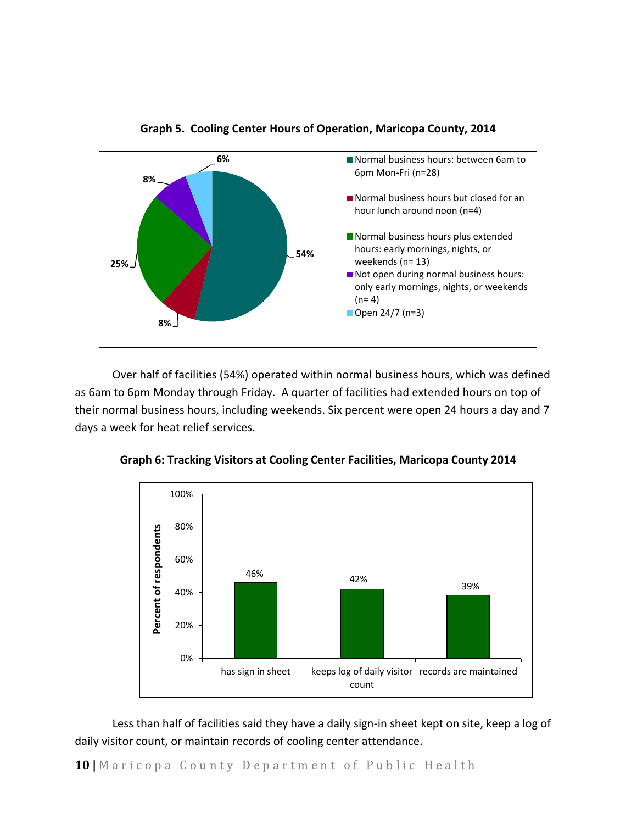

**Graph 5. Cooling Center Hours of Operation, Maricopa County, 2014**

Over half of facilities (54%) operated within normal business hours, which was defined as 6am to 6pm Monday through Friday. A quarter of facilities had extended hours on top of their normal business hours, including weekends. Six percent were open 24 hours a day and 7 days a week for heat relief services.



**Graph 6: Tracking Visitors at Cooling Center Facilities, Maricopa County 2014**

Less than half of facilities said they have a daily sign-in sheet kept on site, keep a log of daily visitor count, or maintain records of cooling center attendance.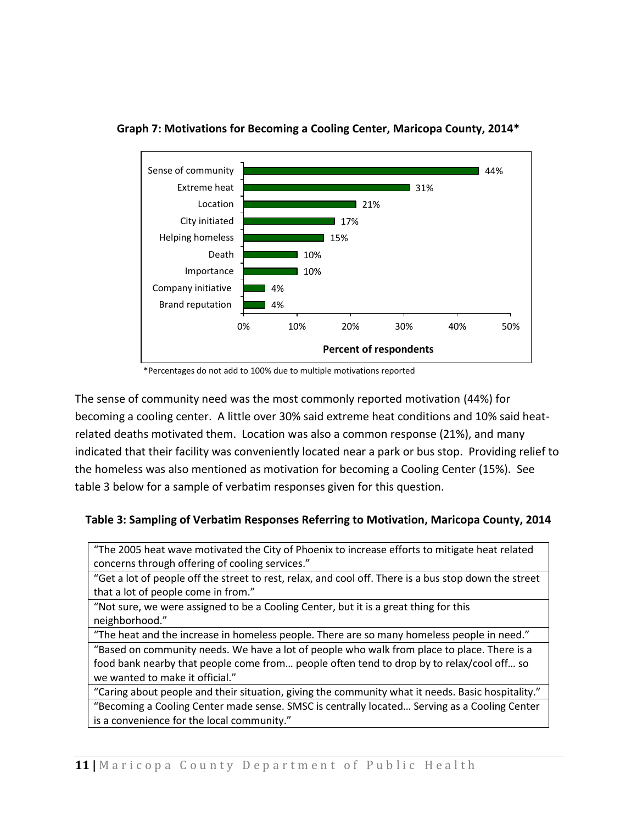

**Graph 7: Motivations for Becoming a Cooling Center, Maricopa County, 2014\***

\*Percentages do not add to 100% due to multiple motivations reported

The sense of community need was the most commonly reported motivation (44%) for becoming a cooling center. A little over 30% said extreme heat conditions and 10% said heatrelated deaths motivated them. Location was also a common response (21%), and many indicated that their facility was conveniently located near a park or bus stop. Providing relief to the homeless was also mentioned as motivation for becoming a Cooling Center (15%). See table 3 below for a sample of verbatim responses given for this question.

### **Table 3: Sampling of Verbatim Responses Referring to Motivation, Maricopa County, 2014**

"The 2005 heat wave motivated the City of Phoenix to increase efforts to mitigate heat related concerns through offering of cooling services."

"Get a lot of people off the street to rest, relax, and cool off. There is a bus stop down the street that a lot of people come in from."

"Not sure, we were assigned to be a Cooling Center, but it is a great thing for this neighborhood."

"The heat and the increase in homeless people. There are so many homeless people in need." "Based on community needs. We have a lot of people who walk from place to place. There is a food bank nearby that people come from… people often tend to drop by to relax/cool off… so we wanted to make it official."

"Caring about people and their situation, giving the community what it needs. Basic hospitality." "Becoming a Cooling Center made sense. SMSC is centrally located… Serving as a Cooling Center is a convenience for the local community."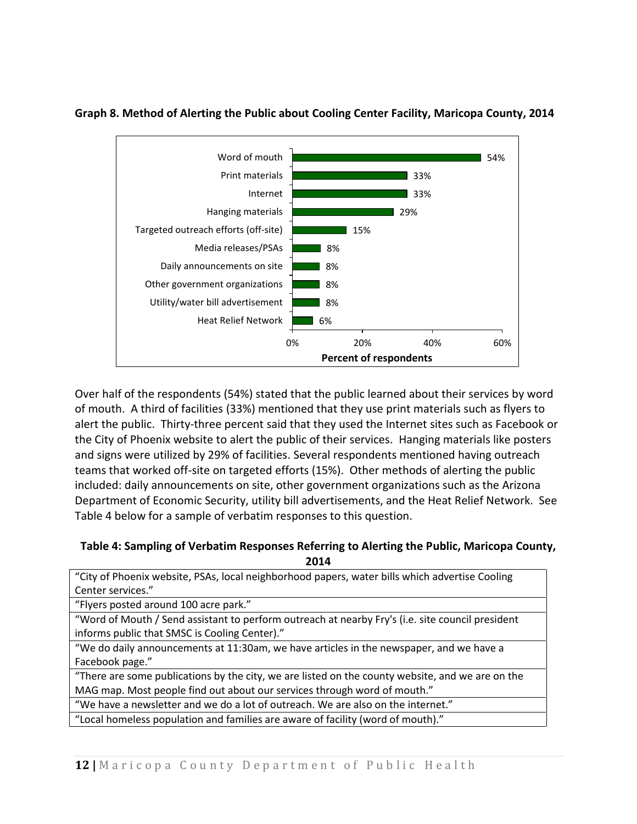

#### **Graph 8. Method of Alerting the Public about Cooling Center Facility, Maricopa County, 2014**

Over half of the respondents (54%) stated that the public learned about their services by word of mouth. A third of facilities (33%) mentioned that they use print materials such as flyers to alert the public. Thirty-three percent said that they used the Internet sites such as Facebook or the City of Phoenix website to alert the public of their services. Hanging materials like posters and signs were utilized by 29% of facilities. Several respondents mentioned having outreach teams that worked off-site on targeted efforts (15%). Other methods of alerting the public included: daily announcements on site, other government organizations such as the Arizona Department of Economic Security, utility bill advertisements, and the Heat Relief Network. See Table 4 below for a sample of verbatim responses to this question.

#### **Table 4: Sampling of Verbatim Responses Referring to Alerting the Public, Maricopa County, 2014**

| "City of Phoenix website, PSAs, local neighborhood papers, water bills which advertise Cooling   |
|--------------------------------------------------------------------------------------------------|
| Center services."                                                                                |
| "Flyers posted around 100 acre park."                                                            |
| "Word of Mouth / Send assistant to perform outreach at nearby Fry's (i.e. site council president |
| informs public that SMSC is Cooling Center)."                                                    |
| "We do daily announcements at 11:30am, we have articles in the newspaper, and we have a          |
| Facebook page."                                                                                  |
| "There are some publications by the city, we are listed on the county website, and we are on the |
| MAG map. Most people find out about our services through word of mouth."                         |
| "We have a newsletter and we do a lot of outreach. We are also on the internet."                 |
| "Local homeless population and families are aware of facility (word of mouth)."                  |
|                                                                                                  |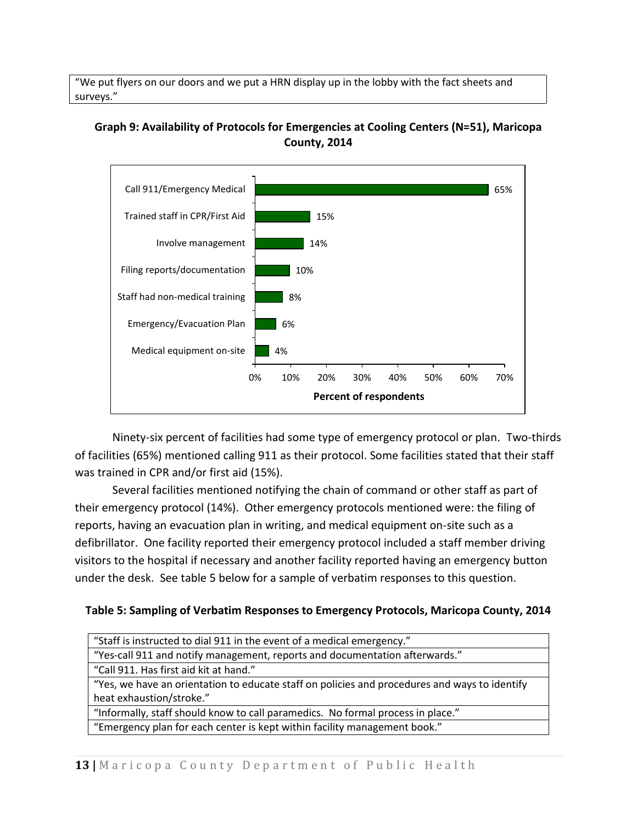"We put flyers on our doors and we put a HRN display up in the lobby with the fact sheets and surveys."

### **Graph 9: Availability of Protocols for Emergencies at Cooling Centers (N=51), Maricopa County, 2014**



Ninety-six percent of facilities had some type of emergency protocol or plan. Two-thirds of facilities (65%) mentioned calling 911 as their protocol. Some facilities stated that their staff was trained in CPR and/or first aid (15%).

Several facilities mentioned notifying the chain of command or other staff as part of their emergency protocol (14%). Other emergency protocols mentioned were: the filing of reports, having an evacuation plan in writing, and medical equipment on-site such as a defibrillator. One facility reported their emergency protocol included a staff member driving visitors to the hospital if necessary and another facility reported having an emergency button under the desk. See table 5 below for a sample of verbatim responses to this question.

### **Table 5: Sampling of Verbatim Responses to Emergency Protocols, Maricopa County, 2014**

| "Staff is instructed to dial 911 in the event of a medical emergency."                        |
|-----------------------------------------------------------------------------------------------|
| "Yes-call 911 and notify management, reports and documentation afterwards."                   |
| "Call 911. Has first aid kit at hand."                                                        |
| "Yes, we have an orientation to educate staff on policies and procedures and ways to identify |
| heat exhaustion/stroke."                                                                      |
| "Informally, staff should know to call paramedics. No formal process in place."               |
| "Emergency plan for each center is kept within facility management book."                     |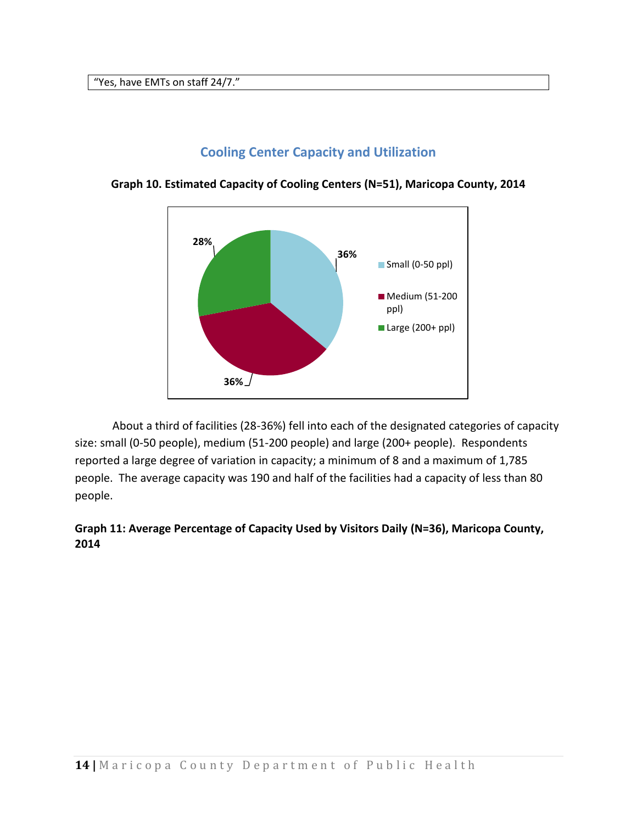"Yes, have EMTs on staff 24/7."

### **Cooling Center Capacity and Utilization**



<span id="page-13-0"></span>**Graph 10. Estimated Capacity of Cooling Centers (N=51), Maricopa County, 2014**

About a third of facilities (28-36%) fell into each of the designated categories of capacity size: small (0-50 people), medium (51-200 people) and large (200+ people). Respondents reported a large degree of variation in capacity; a minimum of 8 and a maximum of 1,785 people. The average capacity was 190 and half of the facilities had a capacity of less than 80 people.

### **Graph 11: Average Percentage of Capacity Used by Visitors Daily (N=36), Maricopa County, 2014**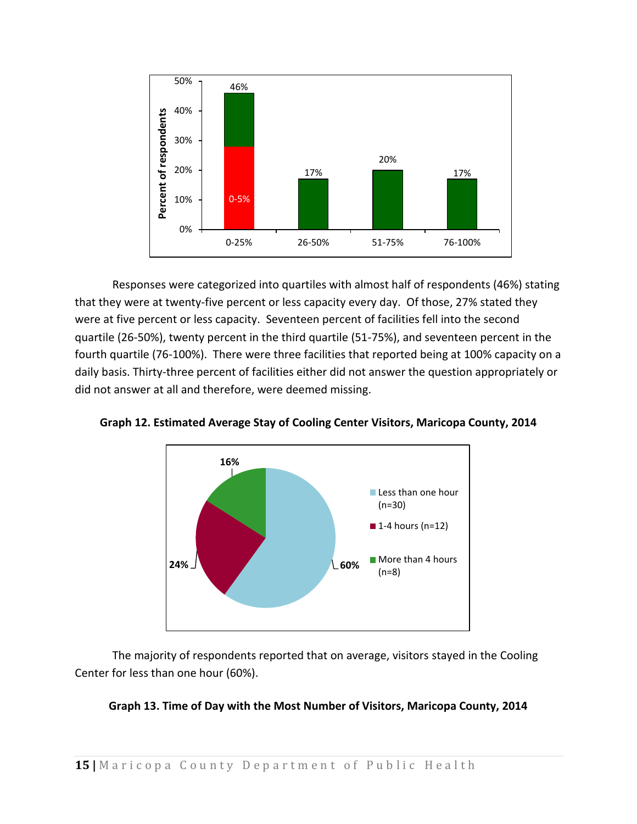

Responses were categorized into quartiles with almost half of respondents (46%) stating that they were at twenty-five percent or less capacity every day. Of those, 27% stated they were at five percent or less capacity. Seventeen percent of facilities fell into the second quartile (26-50%), twenty percent in the third quartile (51-75%), and seventeen percent in the fourth quartile (76-100%). There were three facilities that reported being at 100% capacity on a daily basis. Thirty-three percent of facilities either did not answer the question appropriately or did not answer at all and therefore, were deemed missing.



**Graph 12. Estimated Average Stay of Cooling Center Visitors, Maricopa County, 2014**

The majority of respondents reported that on average, visitors stayed in the Cooling Center for less than one hour (60%).

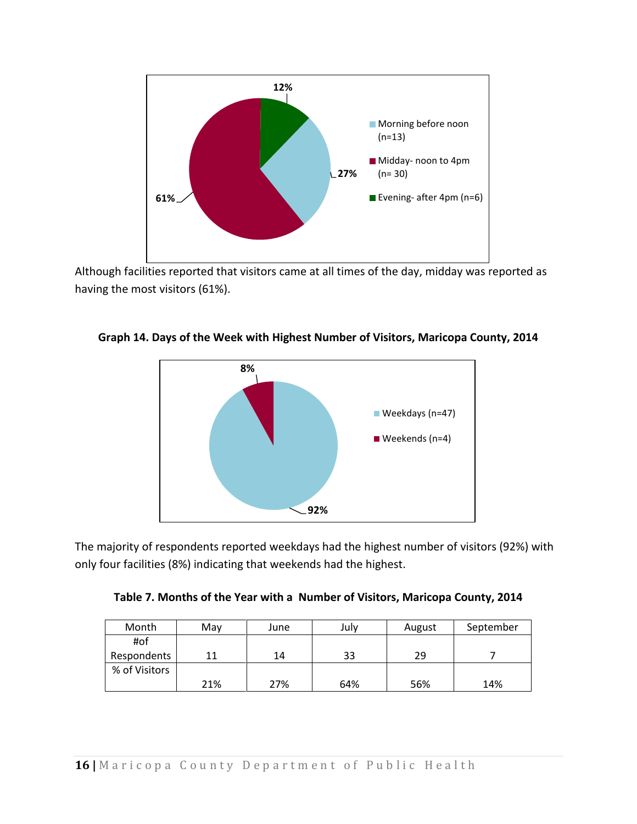

Although facilities reported that visitors came at all times of the day, midday was reported as having the most visitors (61%).



**Graph 14. Days of the Week with Highest Number of Visitors, Maricopa County, 2014**

The majority of respondents reported weekdays had the highest number of visitors (92%) with only four facilities (8%) indicating that weekends had the highest.

| Month         | Mav | June | July | August | September |
|---------------|-----|------|------|--------|-----------|
| #of           |     |      |      |        |           |
| Respondents   |     | 14   | 33   | 29     |           |
| % of Visitors |     |      |      |        |           |
|               | 21% | 27%  | 64%  | 56%    | 14%       |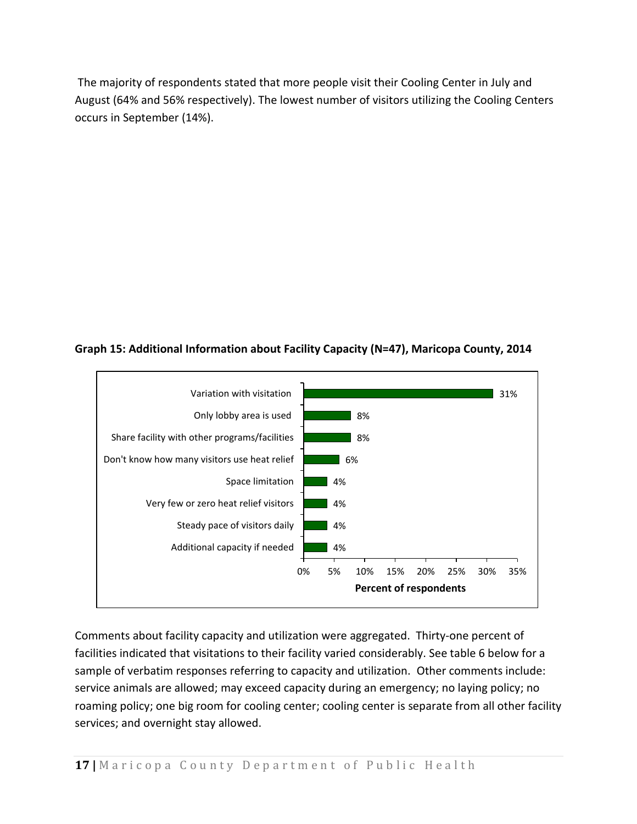The majority of respondents stated that more people visit their Cooling Center in July and August (64% and 56% respectively). The lowest number of visitors utilizing the Cooling Centers occurs in September (14%).





Comments about facility capacity and utilization were aggregated. Thirty-one percent of facilities indicated that visitations to their facility varied considerably. See table 6 below for a sample of verbatim responses referring to capacity and utilization. Other comments include: service animals are allowed; may exceed capacity during an emergency; no laying policy; no roaming policy; one big room for cooling center; cooling center is separate from all other facility services; and overnight stay allowed.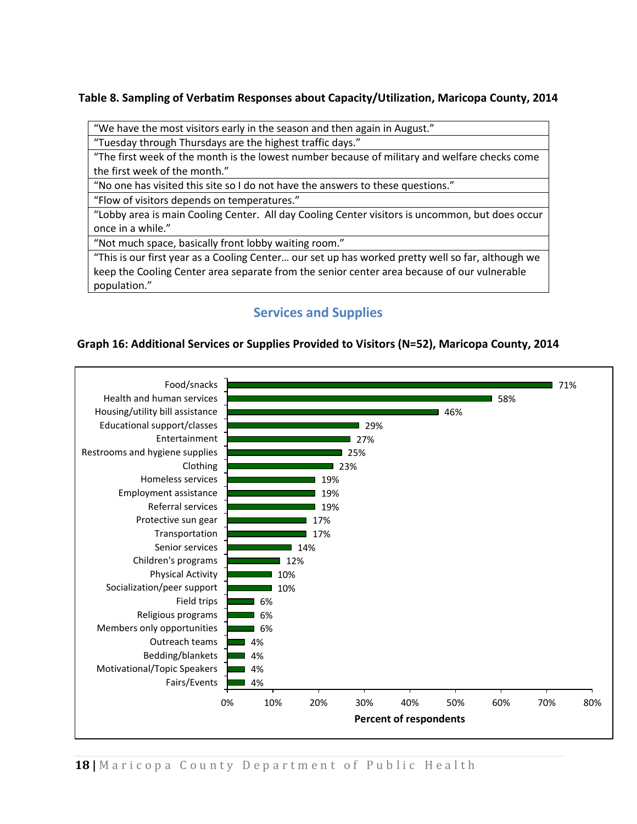### **Table 8. Sampling of Verbatim Responses about Capacity/Utilization, Maricopa County, 2014**

"We have the most visitors early in the season and then again in August."

"Tuesday through Thursdays are the highest traffic days."

"The first week of the month is the lowest number because of military and welfare checks come the first week of the month."

"No one has visited this site so I do not have the answers to these questions."

"Flow of visitors depends on temperatures."

"Lobby area is main Cooling Center. All day Cooling Center visitors is uncommon, but does occur once in a while."

"Not much space, basically front lobby waiting room."

"This is our first year as a Cooling Center… our set up has worked pretty well so far, although we keep the Cooling Center area separate from the senior center area because of our vulnerable population."

### **Services and Supplies**

#### <span id="page-17-0"></span>**Graph 16: Additional Services or Supplies Provided to Visitors (N=52), Maricopa County, 2014**

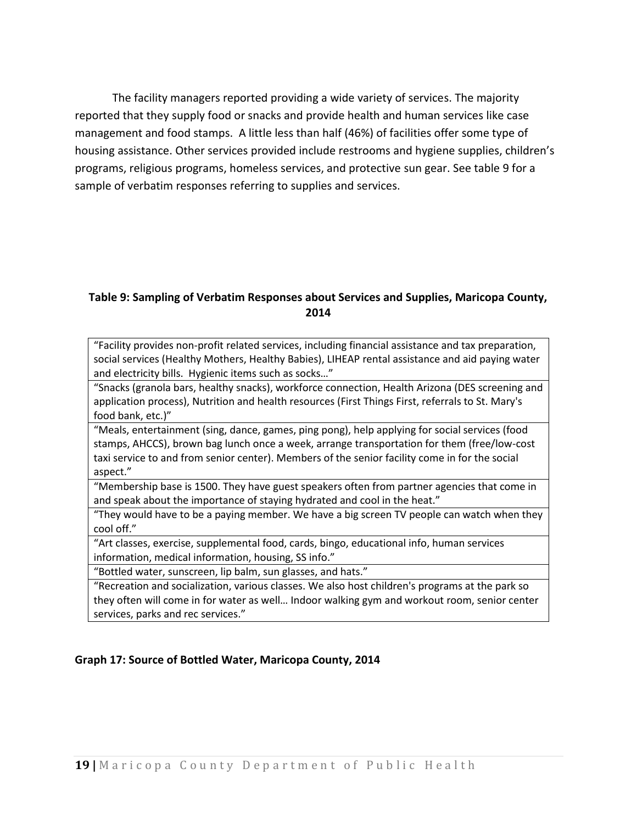The facility managers reported providing a wide variety of services. The majority reported that they supply food or snacks and provide health and human services like case management and food stamps. A little less than half (46%) of facilities offer some type of housing assistance. Other services provided include restrooms and hygiene supplies, children's programs, religious programs, homeless services, and protective sun gear. See table 9 for a sample of verbatim responses referring to supplies and services.

### **Table 9: Sampling of Verbatim Responses about Services and Supplies, Maricopa County, 2014**

"Facility provides non-profit related services, including financial assistance and tax preparation, social services (Healthy Mothers, Healthy Babies), LIHEAP rental assistance and aid paying water and electricity bills. Hygienic items such as socks…"

"Snacks (granola bars, healthy snacks), workforce connection, Health Arizona (DES screening and application process), Nutrition and health resources (First Things First, referrals to St. Mary's food bank, etc.)"

"Meals, entertainment (sing, dance, games, ping pong), help applying for social services (food stamps, AHCCS), brown bag lunch once a week, arrange transportation for them (free/low-cost taxi service to and from senior center). Members of the senior facility come in for the social aspect."

"Membership base is 1500. They have guest speakers often from partner agencies that come in and speak about the importance of staying hydrated and cool in the heat."

"They would have to be a paying member. We have a big screen TV people can watch when they cool off."

"Art classes, exercise, supplemental food, cards, bingo, educational info, human services information, medical information, housing, SS info."

"Bottled water, sunscreen, lip balm, sun glasses, and hats."

"Recreation and socialization, various classes. We also host children's programs at the park so they often will come in for water as well… Indoor walking gym and workout room, senior center services, parks and rec services."

#### **Graph 17: Source of Bottled Water, Maricopa County, 2014**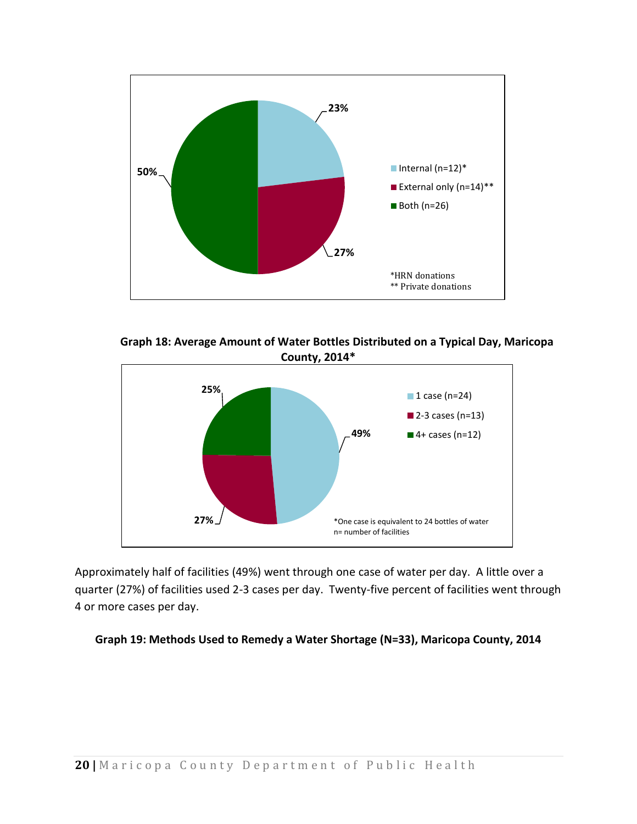

**Graph 18: Average Amount of Water Bottles Distributed on a Typical Day, Maricopa County, 2014\***



Approximately half of facilities (49%) went through one case of water per day. A little over a quarter (27%) of facilities used 2-3 cases per day. Twenty-five percent of facilities went through 4 or more cases per day.

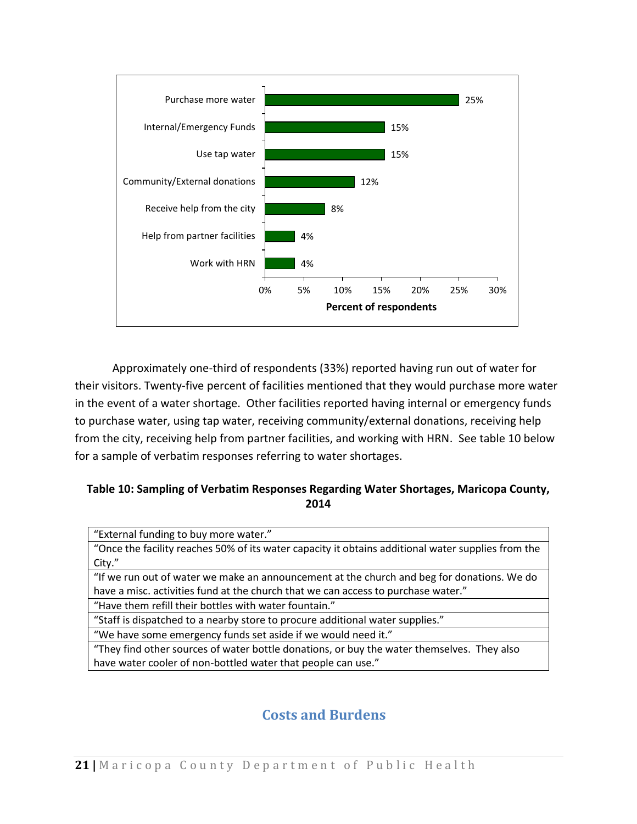

Approximately one-third of respondents (33%) reported having run out of water for their visitors. Twenty-five percent of facilities mentioned that they would purchase more water in the event of a water shortage. Other facilities reported having internal or emergency funds to purchase water, using tap water, receiving community/external donations, receiving help from the city, receiving help from partner facilities, and working with HRN. See table 10 below for a sample of verbatim responses referring to water shortages.

### **Table 10: Sampling of Verbatim Responses Regarding Water Shortages, Maricopa County, 2014**

| "External funding to buy more water."                                                              |
|----------------------------------------------------------------------------------------------------|
| "Once the facility reaches 50% of its water capacity it obtains additional water supplies from the |
| City."                                                                                             |
| "If we run out of water we make an announcement at the church and beg for donations. We do         |
| have a misc. activities fund at the church that we can access to purchase water."                  |
| "Have them refill their bottles with water fountain."                                              |
| "Staff is dispatched to a nearby store to procure additional water supplies."                      |
| "We have some emergency funds set aside if we would need it."                                      |
| "They find other sources of water bottle donations, or buy the water themselves. They also         |
| have water cooler of non-bottled water that people can use."                                       |
|                                                                                                    |

### **Costs and Burdens**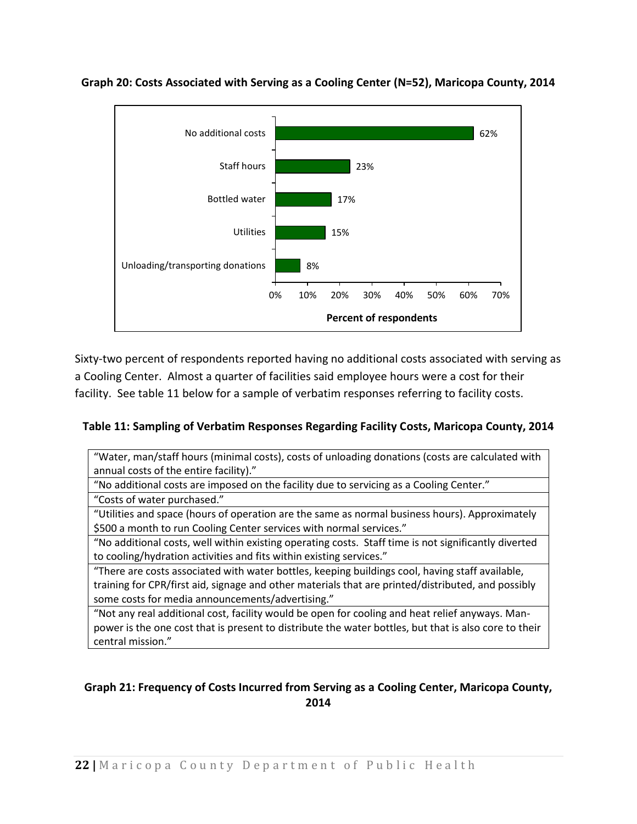

**Graph 20: Costs Associated with Serving as a Cooling Center (N=52), Maricopa County, 2014**

Sixty-two percent of respondents reported having no additional costs associated with serving as a Cooling Center. Almost a quarter of facilities said employee hours were a cost for their facility. See table 11 below for a sample of verbatim responses referring to facility costs.

### **Table 11: Sampling of Verbatim Responses Regarding Facility Costs, Maricopa County, 2014**

"Water, man/staff hours (minimal costs), costs of unloading donations (costs are calculated with annual costs of the entire facility)."

"No additional costs are imposed on the facility due to servicing as a Cooling Center."

"Costs of water purchased."

"Utilities and space (hours of operation are the same as normal business hours). Approximately \$500 a month to run Cooling Center services with normal services."

"No additional costs, well within existing operating costs. Staff time is not significantly diverted to cooling/hydration activities and fits within existing services."

"There are costs associated with water bottles, keeping buildings cool, having staff available, training for CPR/first aid, signage and other materials that are printed/distributed, and possibly some costs for media announcements/advertising."

"Not any real additional cost, facility would be open for cooling and heat relief anyways. Manpower is the one cost that is present to distribute the water bottles, but that is also core to their central mission."

### **Graph 21: Frequency of Costs Incurred from Serving as a Cooling Center, Maricopa County, 2014**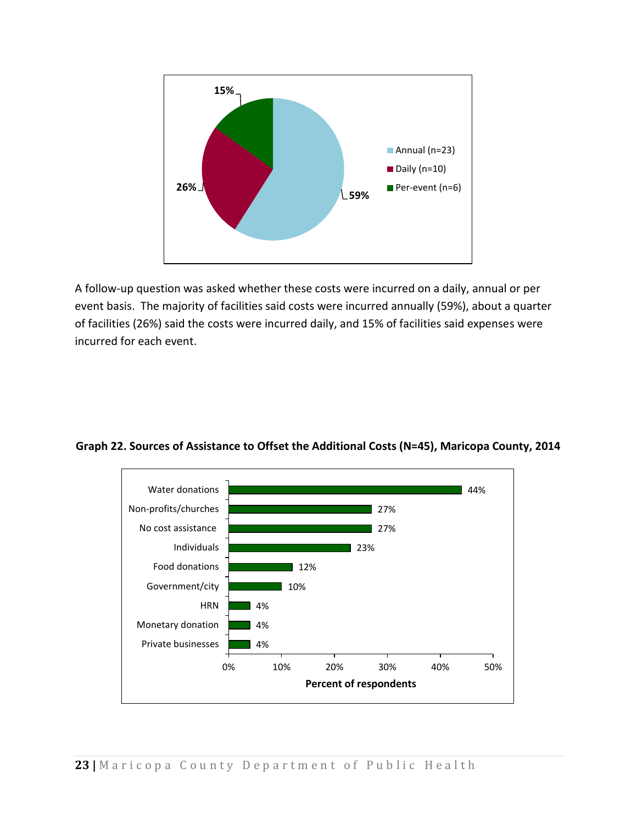

A follow-up question was asked whether these costs were incurred on a daily, annual or per event basis. The majority of facilities said costs were incurred annually (59%), about a quarter of facilities (26%) said the costs were incurred daily, and 15% of facilities said expenses were incurred for each event.



**Graph 22. Sources of Assistance to Offset the Additional Costs (N=45), Maricopa County, 2014**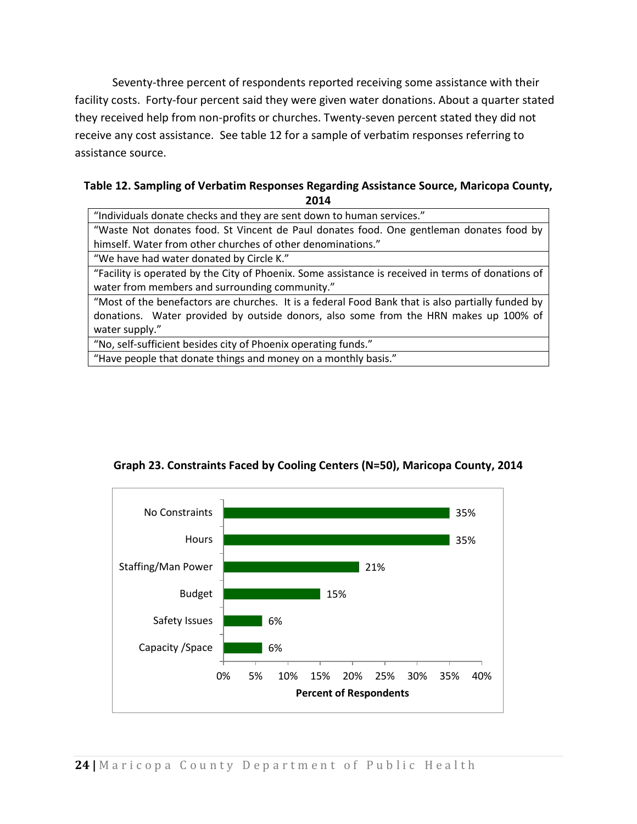Seventy-three percent of respondents reported receiving some assistance with their facility costs. Forty-four percent said they were given water donations. About a quarter stated they received help from non-profits or churches. Twenty-seven percent stated they did not receive any cost assistance. See table 12 for a sample of verbatim responses referring to assistance source.

#### **Table 12. Sampling of Verbatim Responses Regarding Assistance Source, Maricopa County, 2014**

"Individuals donate checks and they are sent down to human services." "Waste Not donates food. St Vincent de Paul donates food. One gentleman donates food by himself. Water from other churches of other denominations."

"We have had water donated by Circle K."

"Facility is operated by the City of Phoenix. Some assistance is received in terms of donations of water from members and surrounding community."

"Most of the benefactors are churches. It is a federal Food Bank that is also partially funded by donations. Water provided by outside donors, also some from the HRN makes up 100% of water supply."

"No, self-sufficient besides city of Phoenix operating funds."

"Have people that donate things and money on a monthly basis."



### **Graph 23. Constraints Faced by Cooling Centers (N=50), Maricopa County, 2014**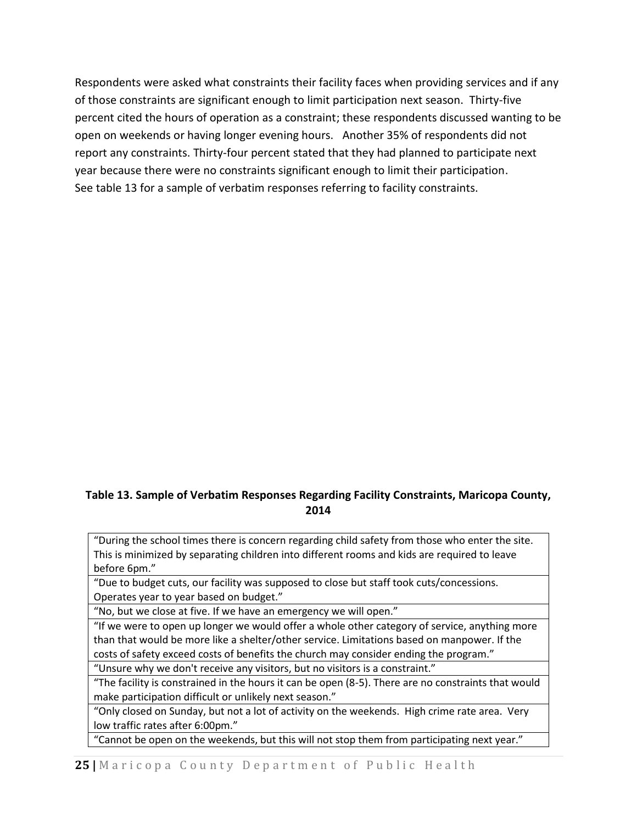Respondents were asked what constraints their facility faces when providing services and if any of those constraints are significant enough to limit participation next season. Thirty-five percent cited the hours of operation as a constraint; these respondents discussed wanting to be open on weekends or having longer evening hours. Another 35% of respondents did not report any constraints. Thirty-four percent stated that they had planned to participate next year because there were no constraints significant enough to limit their participation. See table 13 for a sample of verbatim responses referring to facility constraints.

### **Table 13. Sample of Verbatim Responses Regarding Facility Constraints, Maricopa County, 2014**

"During the school times there is concern regarding child safety from those who enter the site. This is minimized by separating children into different rooms and kids are required to leave before 6pm."

"Due to budget cuts, our facility was supposed to close but staff took cuts/concessions. Operates year to year based on budget."

"No, but we close at five. If we have an emergency we will open."

"If we were to open up longer we would offer a whole other category of service, anything more than that would be more like a shelter/other service. Limitations based on manpower. If the costs of safety exceed costs of benefits the church may consider ending the program."

"Unsure why we don't receive any visitors, but no visitors is a constraint."

"The facility is constrained in the hours it can be open (8-5). There are no constraints that would make participation difficult or unlikely next season."

"Only closed on Sunday, but not a lot of activity on the weekends. High crime rate area. Very low traffic rates after 6:00pm."

"Cannot be open on the weekends, but this will not stop them from participating next year."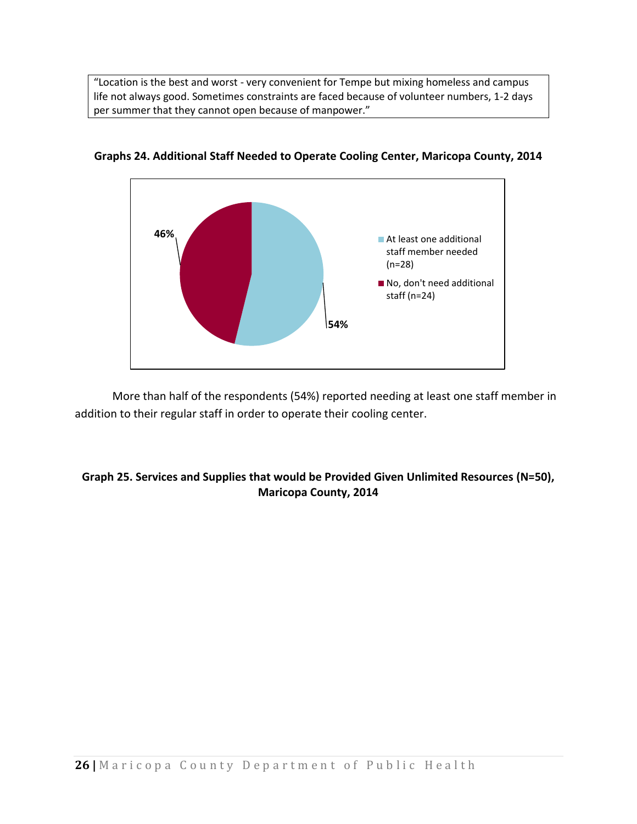"Location is the best and worst - very convenient for Tempe but mixing homeless and campus life not always good. Sometimes constraints are faced because of volunteer numbers, 1-2 days per summer that they cannot open because of manpower."



**Graphs 24. Additional Staff Needed to Operate Cooling Center, Maricopa County, 2014**

More than half of the respondents (54%) reported needing at least one staff member in addition to their regular staff in order to operate their cooling center.

### **Graph 25. Services and Supplies that would be Provided Given Unlimited Resources (N=50), Maricopa County, 2014**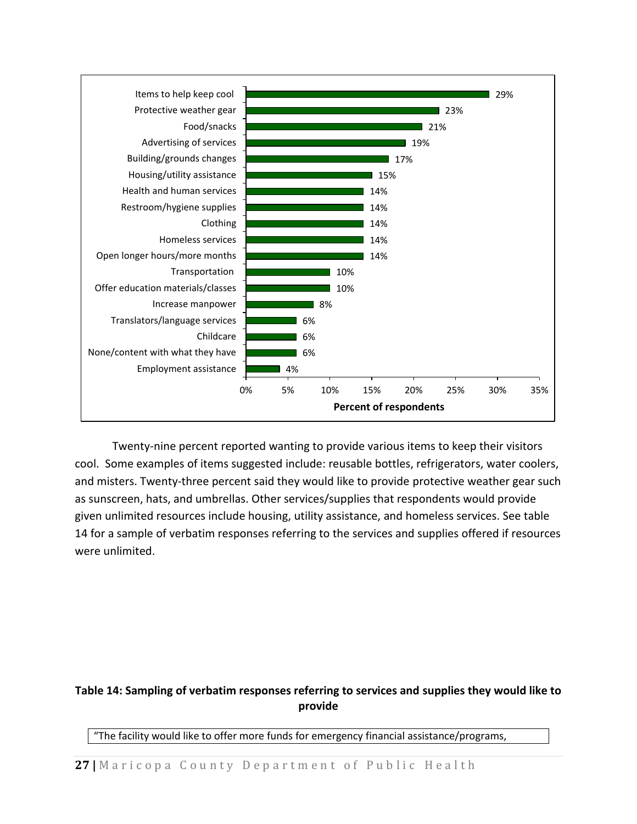

Twenty-nine percent reported wanting to provide various items to keep their visitors cool. Some examples of items suggested include: reusable bottles, refrigerators, water coolers, and misters. Twenty-three percent said they would like to provide protective weather gear such as sunscreen, hats, and umbrellas. Other services/supplies that respondents would provide given unlimited resources include housing, utility assistance, and homeless services. See table 14 for a sample of verbatim responses referring to the services and supplies offered if resources were unlimited.

### **Table 14: Sampling of verbatim responses referring to services and supplies they would like to provide**

"The facility would like to offer more funds for emergency financial assistance/programs,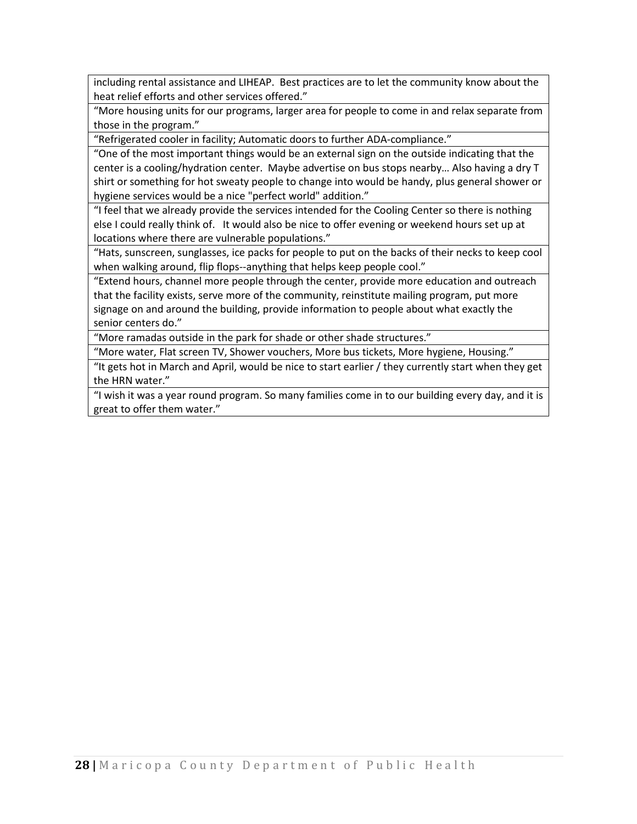including rental assistance and LIHEAP. Best practices are to let the community know about the heat relief efforts and other services offered."

"More housing units for our programs, larger area for people to come in and relax separate from those in the program."

"Refrigerated cooler in facility; Automatic doors to further ADA-compliance."

"One of the most important things would be an external sign on the outside indicating that the center is a cooling/hydration center. Maybe advertise on bus stops nearby… Also having a dry T shirt or something for hot sweaty people to change into would be handy, plus general shower or hygiene services would be a nice "perfect world" addition."

"I feel that we already provide the services intended for the Cooling Center so there is nothing else I could really think of. It would also be nice to offer evening or weekend hours set up at locations where there are vulnerable populations."

"Hats, sunscreen, sunglasses, ice packs for people to put on the backs of their necks to keep cool when walking around, flip flops--anything that helps keep people cool."

"Extend hours, channel more people through the center, provide more education and outreach that the facility exists, serve more of the community, reinstitute mailing program, put more signage on and around the building, provide information to people about what exactly the senior centers do."

"More ramadas outside in the park for shade or other shade structures."

"More water, Flat screen TV, Shower vouchers, More bus tickets, More hygiene, Housing."

"It gets hot in March and April, would be nice to start earlier / they currently start when they get the HRN water."

"I wish it was a year round program. So many families come in to our building every day, and it is great to offer them water."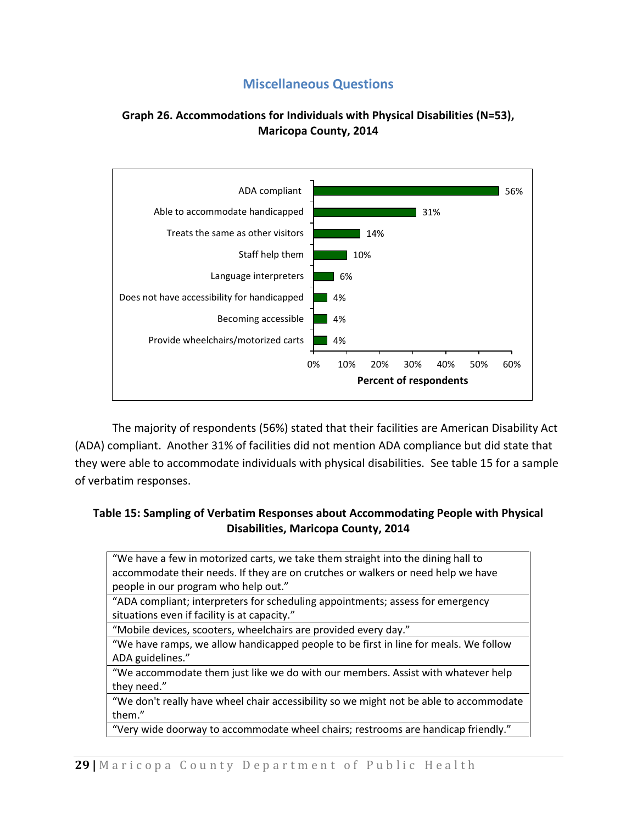### **Miscellaneous Questions**

### <span id="page-28-0"></span>**Graph 26. Accommodations for Individuals with Physical Disabilities (N=53), Maricopa County, 2014**



The majority of respondents (56%) stated that their facilities are American Disability Act (ADA) compliant. Another 31% of facilities did not mention ADA compliance but did state that they were able to accommodate individuals with physical disabilities. See table 15 for a sample of verbatim responses.

### **Table 15: Sampling of Verbatim Responses about Accommodating People with Physical Disabilities, Maricopa County, 2014**

| "We have a few in motorized carts, we take them straight into the dining hall to       |
|----------------------------------------------------------------------------------------|
| accommodate their needs. If they are on crutches or walkers or need help we have       |
| people in our program who help out."                                                   |
| "ADA compliant; interpreters for scheduling appointments; assess for emergency         |
| situations even if facility is at capacity."                                           |
| "Mobile devices, scooters, wheelchairs are provided every day."                        |
| "We have ramps, we allow handicapped people to be first in line for meals. We follow   |
| ADA guidelines."                                                                       |
| "We accommodate them just like we do with our members. Assist with whatever help       |
| they need."                                                                            |
| "We don't really have wheel chair accessibility so we might not be able to accommodate |
| them."                                                                                 |
| "Very wide doorway to accommodate wheel chairs; restrooms are handicap friendly."      |
|                                                                                        |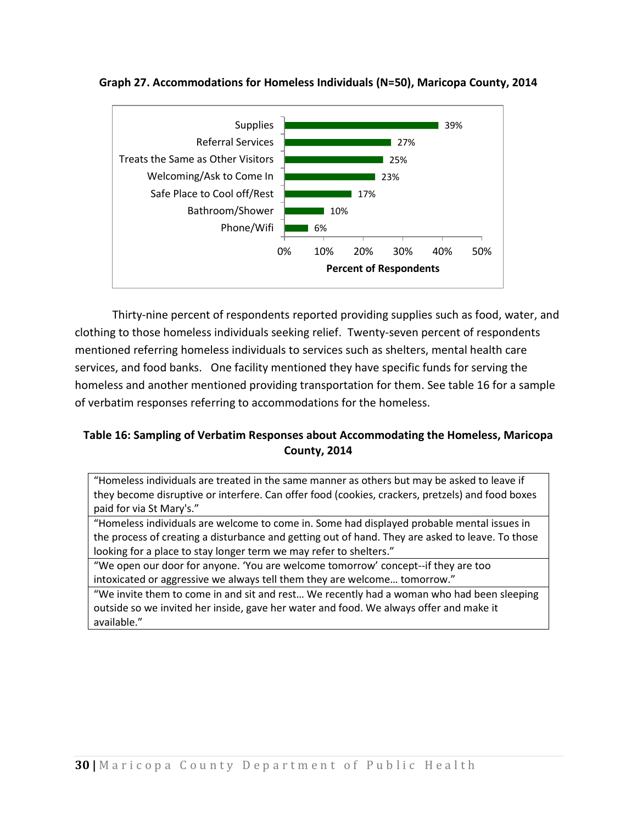

**Graph 27. Accommodations for Homeless Individuals (N=50), Maricopa County, 2014**

Thirty-nine percent of respondents reported providing supplies such as food, water, and clothing to those homeless individuals seeking relief. Twenty-seven percent of respondents mentioned referring homeless individuals to services such as shelters, mental health care services, and food banks. One facility mentioned they have specific funds for serving the homeless and another mentioned providing transportation for them. See table 16 for a sample of verbatim responses referring to accommodations for the homeless.

### **Table 16: Sampling of Verbatim Responses about Accommodating the Homeless, Maricopa County, 2014**

"Homeless individuals are treated in the same manner as others but may be asked to leave if they become disruptive or interfere. Can offer food (cookies, crackers, pretzels) and food boxes paid for via St Mary's."

"Homeless individuals are welcome to come in. Some had displayed probable mental issues in the process of creating a disturbance and getting out of hand. They are asked to leave. To those looking for a place to stay longer term we may refer to shelters."

"We open our door for anyone. 'You are welcome tomorrow' concept--if they are too intoxicated or aggressive we always tell them they are welcome… tomorrow."

"We invite them to come in and sit and rest… We recently had a woman who had been sleeping outside so we invited her inside, gave her water and food. We always offer and make it available."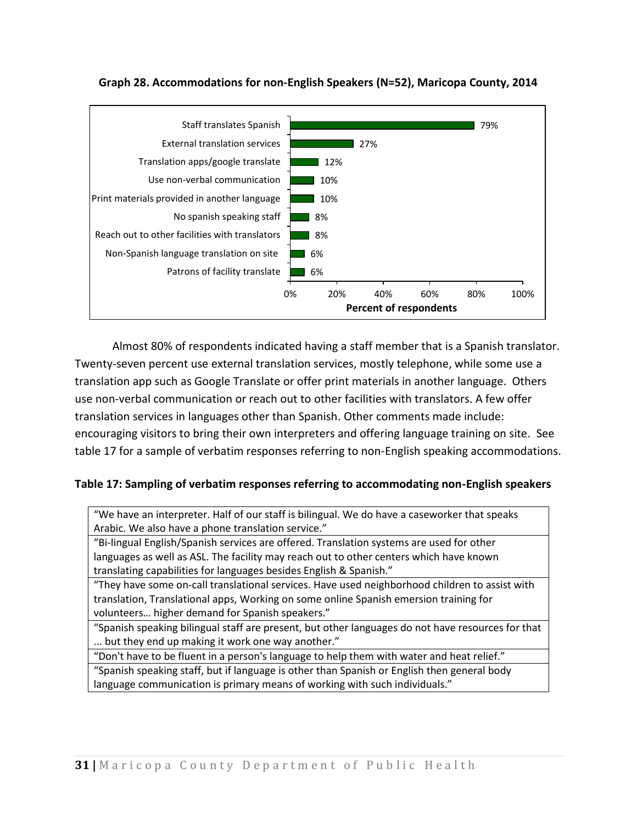

**Graph 28. Accommodations for non-English Speakers (N=52), Maricopa County, 2014** 

Almost 80% of respondents indicated having a staff member that is a Spanish translator. Twenty-seven percent use external translation services, mostly telephone, while some use a translation app such as Google Translate or offer print materials in another language. Others use non-verbal communication or reach out to other facilities with translators. A few offer translation services in languages other than Spanish. Other comments made include: encouraging visitors to bring their own interpreters and offering language training on site. See table 17 for a sample of verbatim responses referring to non-English speaking accommodations.

#### **Table 17: Sampling of verbatim responses referring to accommodating non-English speakers**

"We have an interpreter. Half of our staff is bilingual. We do have a caseworker that speaks Arabic. We also have a phone translation service."

"Bi-lingual English/Spanish services are offered. Translation systems are used for other languages as well as ASL. The facility may reach out to other centers which have known translating capabilities for languages besides English & Spanish."

"They have some on-call translational services. Have used neighborhood children to assist with translation, Translational apps, Working on some online Spanish emersion training for volunteers… higher demand for Spanish speakers."

"Spanish speaking bilingual staff are present, but other languages do not have resources for that ... but they end up making it work one way another."

"Don't have to be fluent in a person's language to help them with water and heat relief."

"Spanish speaking staff, but if language is other than Spanish or English then general body language communication is primary means of working with such individuals."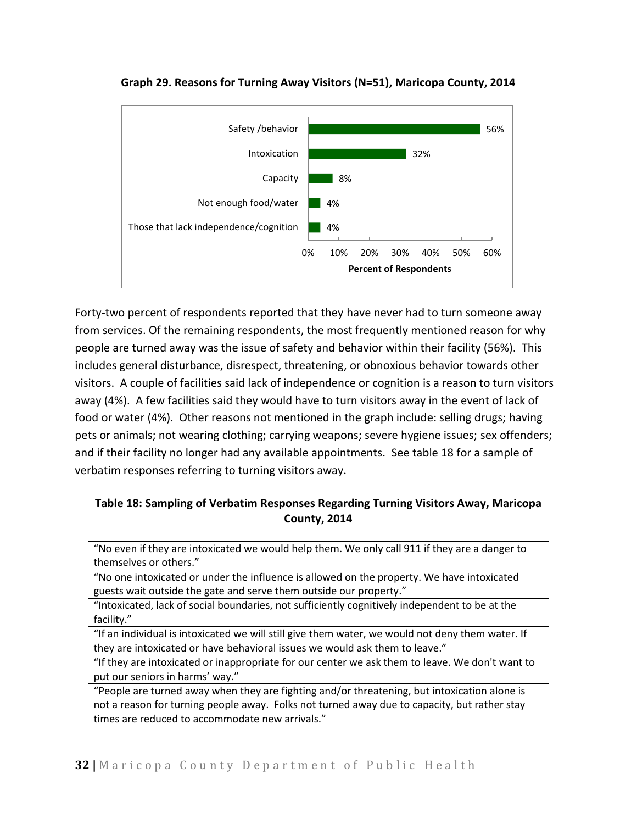

**Graph 29. Reasons for Turning Away Visitors (N=51), Maricopa County, 2014**

Forty-two percent of respondents reported that they have never had to turn someone away from services. Of the remaining respondents, the most frequently mentioned reason for why people are turned away was the issue of safety and behavior within their facility (56%). This includes general disturbance, disrespect, threatening, or obnoxious behavior towards other visitors. A couple of facilities said lack of independence or cognition is a reason to turn visitors away (4%). A few facilities said they would have to turn visitors away in the event of lack of food or water (4%). Other reasons not mentioned in the graph include: selling drugs; having pets or animals; not wearing clothing; carrying weapons; severe hygiene issues; sex offenders; and if their facility no longer had any available appointments. See table 18 for a sample of verbatim responses referring to turning visitors away.

### **Table 18: Sampling of Verbatim Responses Regarding Turning Visitors Away, Maricopa County, 2014**

"No even if they are intoxicated we would help them. We only call 911 if they are a danger to themselves or others."

"No one intoxicated or under the influence is allowed on the property. We have intoxicated guests wait outside the gate and serve them outside our property."

"Intoxicated, lack of social boundaries, not sufficiently cognitively independent to be at the facility."

"If an individual is intoxicated we will still give them water, we would not deny them water. If they are intoxicated or have behavioral issues we would ask them to leave."

"If they are intoxicated or inappropriate for our center we ask them to leave. We don't want to put our seniors in harms' way."

"People are turned away when they are fighting and/or threatening, but intoxication alone is not a reason for turning people away. Folks not turned away due to capacity, but rather stay times are reduced to accommodate new arrivals."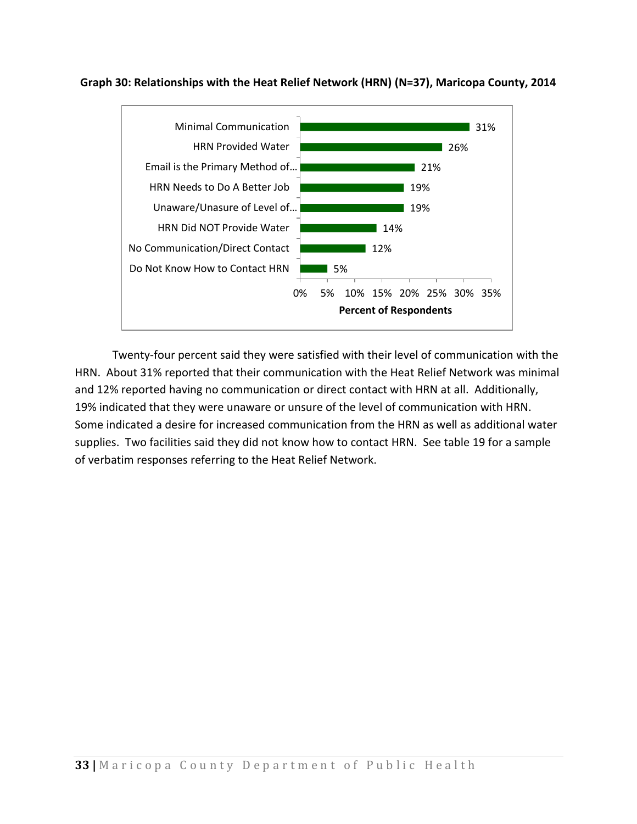

**Graph 30: Relationships with the Heat Relief Network (HRN) (N=37), Maricopa County, 2014**

Twenty-four percent said they were satisfied with their level of communication with the HRN. About 31% reported that their communication with the Heat Relief Network was minimal and 12% reported having no communication or direct contact with HRN at all. Additionally, 19% indicated that they were unaware or unsure of the level of communication with HRN. Some indicated a desire for increased communication from the HRN as well as additional water supplies. Two facilities said they did not know how to contact HRN. See table 19 for a sample of verbatim responses referring to the Heat Relief Network.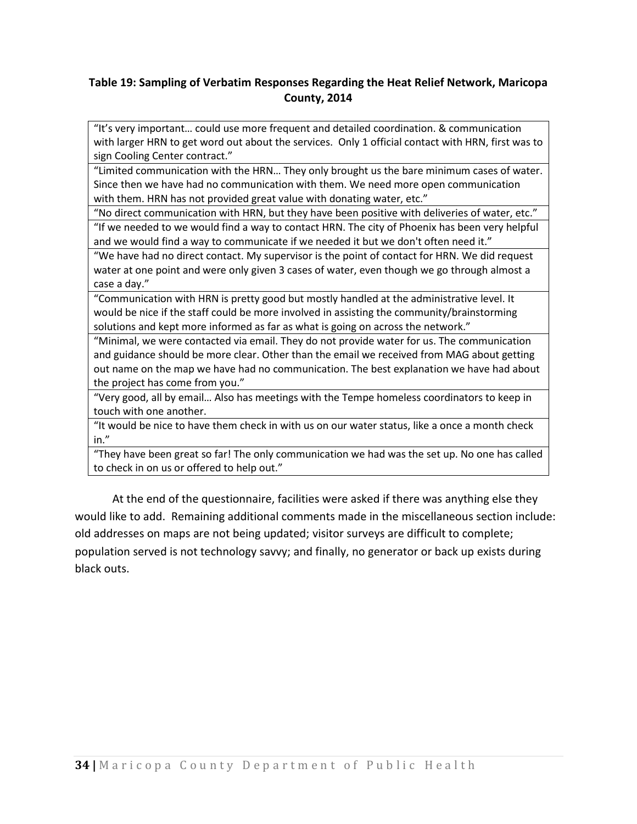### **Table 19: Sampling of Verbatim Responses Regarding the Heat Relief Network, Maricopa County, 2014**

"It's very important… could use more frequent and detailed coordination. & communication with larger HRN to get word out about the services. Only 1 official contact with HRN, first was to sign Cooling Center contract."

"Limited communication with the HRN… They only brought us the bare minimum cases of water. Since then we have had no communication with them. We need more open communication with them. HRN has not provided great value with donating water, etc."

"No direct communication with HRN, but they have been positive with deliveries of water, etc." "If we needed to we would find a way to contact HRN. The city of Phoenix has been very helpful

and we would find a way to communicate if we needed it but we don't often need it."

"We have had no direct contact. My supervisor is the point of contact for HRN. We did request water at one point and were only given 3 cases of water, even though we go through almost a case a day."

"Communication with HRN is pretty good but mostly handled at the administrative level. It would be nice if the staff could be more involved in assisting the community/brainstorming solutions and kept more informed as far as what is going on across the network."

"Minimal, we were contacted via email. They do not provide water for us. The communication and guidance should be more clear. Other than the email we received from MAG about getting out name on the map we have had no communication. The best explanation we have had about the project has come from you."

"Very good, all by email… Also has meetings with the Tempe homeless coordinators to keep in touch with one another.

"It would be nice to have them check in with us on our water status, like a once a month check in."

"They have been great so far! The only communication we had was the set up. No one has called to check in on us or offered to help out."

At the end of the questionnaire, facilities were asked if there was anything else they would like to add. Remaining additional comments made in the miscellaneous section include: old addresses on maps are not being updated; visitor surveys are difficult to complete; population served is not technology savvy; and finally, no generator or back up exists during black outs.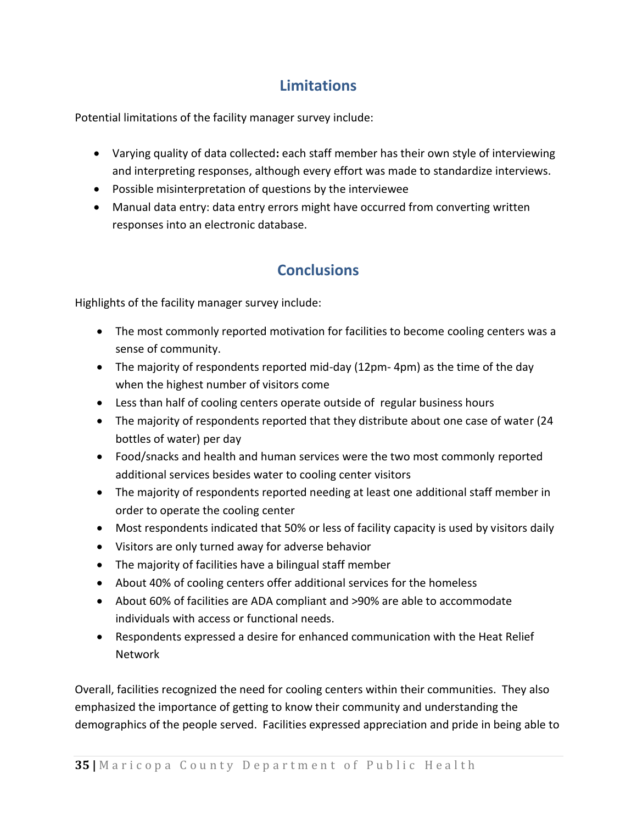## **Limitations**

<span id="page-34-0"></span>Potential limitations of the facility manager survey include:

- Varying quality of data collected**:** each staff member has their own style of interviewing and interpreting responses, although every effort was made to standardize interviews.
- Possible misinterpretation of questions by the interviewee
- <span id="page-34-1"></span> Manual data entry: data entry errors might have occurred from converting written responses into an electronic database.

## **Conclusions**

Highlights of the facility manager survey include:

- The most commonly reported motivation for facilities to become cooling centers was a sense of community.
- The majority of respondents reported mid-day (12pm- 4pm) as the time of the day when the highest number of visitors come
- Less than half of cooling centers operate outside of regular business hours
- The majority of respondents reported that they distribute about one case of water (24 bottles of water) per day
- Food/snacks and health and human services were the two most commonly reported additional services besides water to cooling center visitors
- The majority of respondents reported needing at least one additional staff member in order to operate the cooling center
- Most respondents indicated that 50% or less of facility capacity is used by visitors daily
- Visitors are only turned away for adverse behavior
- The majority of facilities have a bilingual staff member
- About 40% of cooling centers offer additional services for the homeless
- About 60% of facilities are ADA compliant and >90% are able to accommodate individuals with access or functional needs.
- Respondents expressed a desire for enhanced communication with the Heat Relief Network

Overall, facilities recognized the need for cooling centers within their communities. They also emphasized the importance of getting to know their community and understanding the demographics of the people served. Facilities expressed appreciation and pride in being able to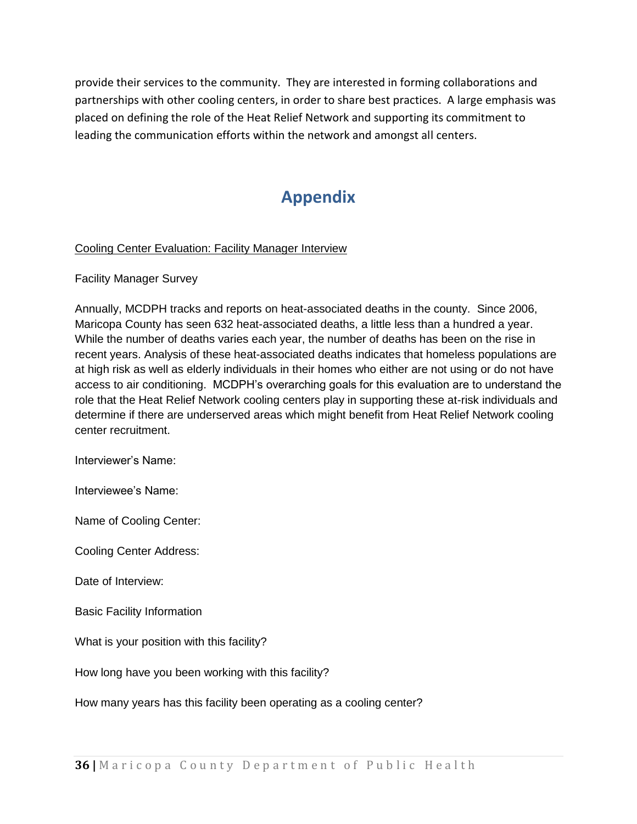provide their services to the community. They are interested in forming collaborations and partnerships with other cooling centers, in order to share best practices. A large emphasis was placed on defining the role of the Heat Relief Network and supporting its commitment to leading the communication efforts within the network and amongst all centers.

## **Appendix**

### <span id="page-35-0"></span>Cooling Center Evaluation: Facility Manager Interview

Facility Manager Survey

Annually, MCDPH tracks and reports on heat-associated deaths in the county. Since 2006, Maricopa County has seen 632 heat-associated deaths, a little less than a hundred a year. While the number of deaths varies each year, the number of deaths has been on the rise in recent years. Analysis of these heat-associated deaths indicates that homeless populations are at high risk as well as elderly individuals in their homes who either are not using or do not have access to air conditioning. MCDPH's overarching goals for this evaluation are to understand the role that the Heat Relief Network cooling centers play in supporting these at-risk individuals and determine if there are underserved areas which might benefit from Heat Relief Network cooling center recruitment.

Interviewer's Name:

Interviewee's Name:

Name of Cooling Center:

Cooling Center Address:

Date of Interview:

Basic Facility Information

What is your position with this facility?

How long have you been working with this facility?

How many years has this facility been operating as a cooling center?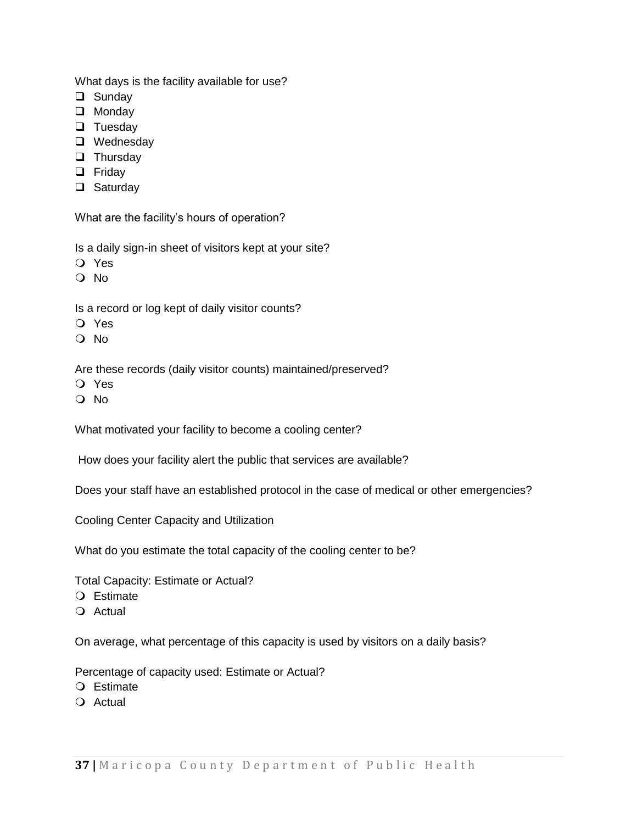What days is the facility available for use?

- □ Sunday
- **Q** Monday
- $\Box$  Tuesday
- □ Wednesday
- $\Box$  Thursday
- **D** Friday
- □ Saturday

What are the facility's hours of operation?

Is a daily sign-in sheet of visitors kept at your site?

- Yes
- $\Omega$  No

Is a record or log kept of daily visitor counts?

- Yes
- $\Omega$  No

Are these records (daily visitor counts) maintained/preserved?

- Yes
- $\Omega$  No

What motivated your facility to become a cooling center?

How does your facility alert the public that services are available?

Does your staff have an established protocol in the case of medical or other emergencies?

Cooling Center Capacity and Utilization

What do you estimate the total capacity of the cooling center to be?

Total Capacity: Estimate or Actual?

- Estimate
- Actual

On average, what percentage of this capacity is used by visitors on a daily basis?

Percentage of capacity used: Estimate or Actual?

- Estimate
- $Q$  Actual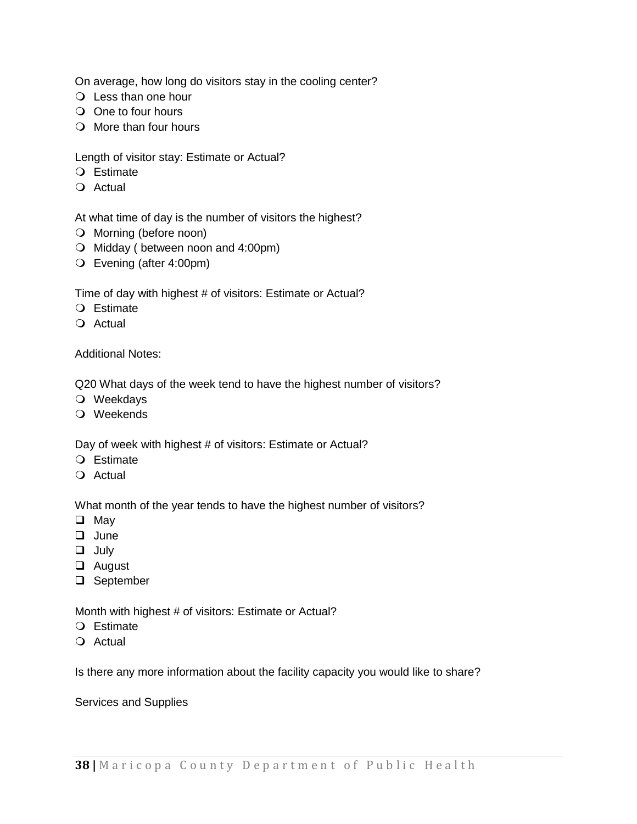On average, how long do visitors stay in the cooling center?

- Less than one hour
- O One to four hours
- $\bigcirc$  More than four hours

Length of visitor stay: Estimate or Actual?

- Estimate
- $Q$  Actual

At what time of day is the number of visitors the highest?

- O Morning (before noon)
- $\bigcirc$  Midday ( between noon and 4:00pm)
- Evening (after 4:00pm)

Time of day with highest # of visitors: Estimate or Actual?

- Estimate
- O Actual

Additional Notes:

Q20 What days of the week tend to have the highest number of visitors?

- Weekdays
- Weekends

Day of week with highest # of visitors: Estimate or Actual?

- $Q$  Estimate
- O Actual

What month of the year tends to have the highest number of visitors?

- **Q** May
- **Q** June
- **Q** July
- **Q** August
- □ September

Month with highest # of visitors: Estimate or Actual?

- Estimate
- $Q$  Actual

Is there any more information about the facility capacity you would like to share?

Services and Supplies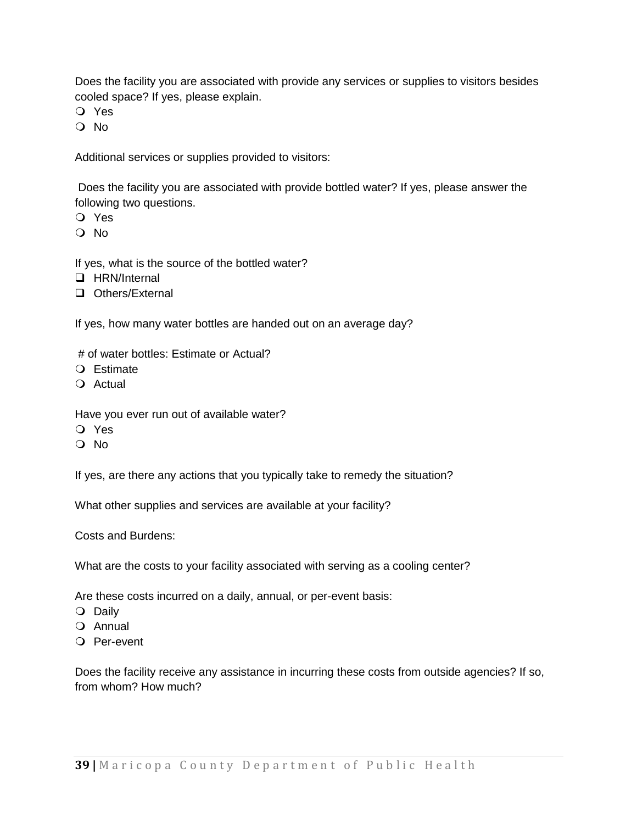Does the facility you are associated with provide any services or supplies to visitors besides cooled space? If yes, please explain.

Yes

O No

Additional services or supplies provided to visitors:

Does the facility you are associated with provide bottled water? If yes, please answer the following two questions.

- Yes
- O No

If yes, what is the source of the bottled water?

- □ HRN/Internal
- **Q** Others/External

If yes, how many water bottles are handed out on an average day?

- # of water bottles: Estimate or Actual?
- Estimate
- O Actual

Have you ever run out of available water?

- Yes
- O No

If yes, are there any actions that you typically take to remedy the situation?

What other supplies and services are available at your facility?

Costs and Burdens:

What are the costs to your facility associated with serving as a cooling center?

Are these costs incurred on a daily, annual, or per-event basis:

- O Daily
- O Annual
- Per-event

Does the facility receive any assistance in incurring these costs from outside agencies? If so, from whom? How much?